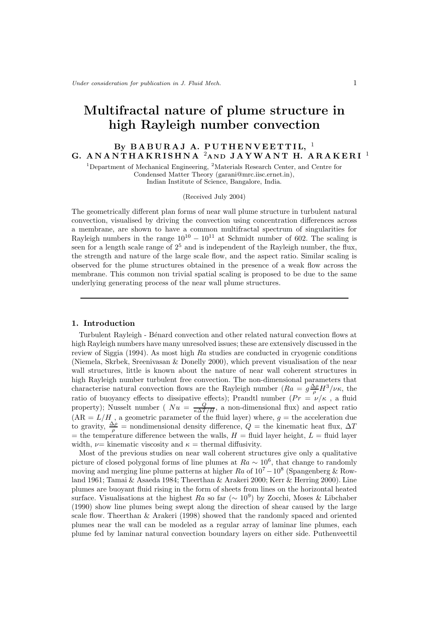# Multifractal nature of plume structure in high Rayleigh number convection

# By BABURAJ A. PUTHENVEETTIL,  $1$ G. AN ANTHAKRISHNA<sup>2</sup> AND JAYWANT H. ARAKERI<sup>1</sup>

<sup>1</sup>Department of Mechanical Engineering, <sup>2</sup>Materials Research Center, and Centre for Condensed Matter Theory (garani@mrc.iisc.ernet.in), Indian Institute of Science, Bangalore, India.

(Received July 2004)

The geometrically different plan forms of near wall plume structure in turbulent natural convection, visualised by driving the convection using concentration differences across a membrane, are shown to have a common multifractal spectrum of singularities for Rayleigh numbers in the range  $10^{10} - 10^{11}$  at Schmidt number of 602. The scaling is seen for a length scale range of  $2^5$  and is independent of the Rayleigh number, the flux, the strength and nature of the large scale flow, and the aspect ratio. Similar scaling is observed for the plume structures obtained in the presence of a weak flow across the membrane. This common non trivial spatial scaling is proposed to be due to the same underlying generating process of the near wall plume structures.

#### 1. Introduction

Turbulent Rayleigh - B´enard convection and other related natural convection flows at high Rayleigh numbers have many unresolved issues; these are extensively discussed in the review of Siggia (1994). As most high Ra studies are conducted in cryogenic conditions (Niemela, Skrbek, Sreenivasan & Donelly 2000), which prevent visualisation of the near wall structures, little is known about the nature of near wall coherent structures in high Rayleigh number turbulent free convection. The non-dimensional parameters that characterise natural convection flows are the Rayleigh number  $(Ra = g \frac{\Delta \rho}{\rho} H^3/\nu \kappa$ , the ratio of buoyancy effects to dissipative effects); Prandtl number  $(Pr = \nu/\kappa)$ , a fluid property); Nusselt number ( $Nu = \frac{Q}{\kappa \Delta T/H}$ , a non-dimensional flux) and aspect ratio  $(AR = L/H)$ , a geometric parameter of the fluid layer) where,  $g =$  the acceleration due to gravity,  $\frac{\Delta \rho}{\rho}$  = nondimensional density difference,  $\dot{Q}$  = the kinematic heat flux,  $\Delta T$ = the temperature difference between the walls,  $H =$  fluid layer height,  $L =$  fluid layer width,  $\nu$ = kinematic viscosity and  $\kappa$  = thermal diffusivity.

Most of the previous studies on near wall coherent structures give only a qualitative picture of closed polygonal forms of line plumes at  $Ra \sim 10^6$ , that change to randomly moving and merging line plume patterns at higher  $Ra$  of  $10^7 - 10^8$  (Spangenberg & Rowland 1961; Tamai & Asaeda 1984; Theerthan & Arakeri 2000; Kerr & Herring 2000). Line plumes are buoyant fluid rising in the form of sheets from lines on the horizontal heated surface. Visualisations at the highest Ra so far ( $\sim 10^9$ ) by Zocchi, Moses & Libchaber (1990) show line plumes being swept along the direction of shear caused by the large scale flow. Theerthan & Arakeri (1998) showed that the randomly spaced and oriented plumes near the wall can be modeled as a regular array of laminar line plumes, each plume fed by laminar natural convection boundary layers on either side. Puthenveettil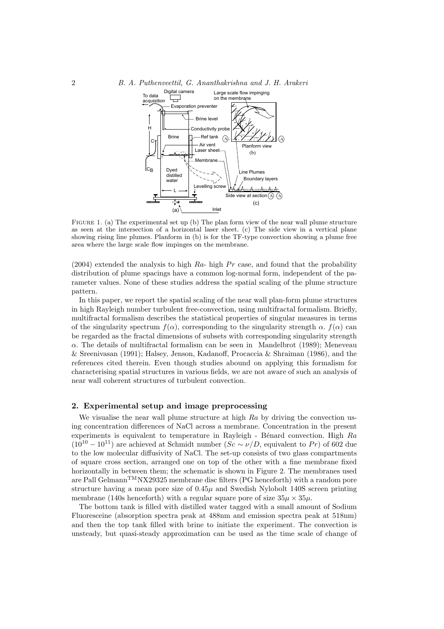#### 2 B. A. Puthenveettil, G. Ananthakrishna and J. H. Arakeri



FIGURE 1. (a) The experimental set up (b) The plan form view of the near wall plume structure as seen at the intersection of a horizontal laser sheet. (c) The side view in a vertical plane showing rising line plumes. Planform in (b) is for the TF-type convection showing a plume free area where the large scale flow impinges on the membrane.

(2004) extended the analysis to high  $Ra$ - high  $Pr$  case, and found that the probability distribution of plume spacings have a common log-normal form, independent of the parameter values. None of these studies address the spatial scaling of the plume structure pattern.

In this paper, we report the spatial scaling of the near wall plan-form plume structures in high Rayleigh number turbulent free-convection, using multifractal formalism. Briefly, multifractal formalism describes the statistical properties of singular measures in terms of the singularity spectrum  $f(\alpha)$ , corresponding to the singularity strength  $\alpha$ ,  $f(\alpha)$  can be regarded as the fractal dimensions of subsets with corresponding singularity strength  $\alpha$ . The details of multifractal formalism can be seen in Mandelbrot (1989); Meneveau & Sreenivasan (1991); Halsey, Jenson, Kadanoff, Procaccia & Shraiman (1986), and the references cited therein. Even though studies abound on applying this formalism for characterising spatial structures in various fields, we are not aware of such an analysis of near wall coherent structures of turbulent convection.

#### 2. Experimental setup and image preprocessing

We visualise the near wall plume structure at high  $Ra$  by driving the convection using concentration differences of NaCl across a membrane. Concentration in the present experiments is equivalent to temperature in Rayleigh - Bénard convection. High  $Ra$  $(10^{10} – 10^{11})$  are achieved at Schmidt number  $(Sc ~ \sim \nu/D)$ , equivalent to Pr) of 602 due to the low molecular diffusivity of NaCl. The set-up consists of two glass compartments of square cross section, arranged one on top of the other with a fine membrane fixed horizontally in between them; the schematic is shown in Figure 2. The membranes used are Pall Gelmann<sup>TM</sup>NX29325 membrane disc filters (PG henceforth) with a random pore structure having a mean pore size of  $0.45\mu$  and Swedish Nylobolt 140S screen printing membrane (140s henceforth) with a regular square pore of size  $35\mu \times 35\mu$ .

The bottom tank is filled with distilled water tagged with a small amount of Sodium Fluoresceine (absorption spectra peak at 488nm and emission spectra peak at 518nm) and then the top tank filled with brine to initiate the experiment. The convection is unsteady, but quasi-steady approximation can be used as the time scale of change of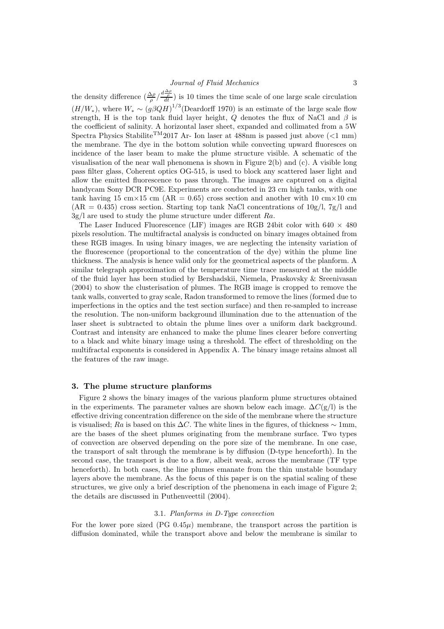the density difference  $(\frac{\Delta \rho}{\rho}/\frac{d\frac{\Delta \rho}{\rho}}{dt})$  is 10 times the time scale of one large scale circulation  $(H/W_*)$ , where  $W_* \sim (g\beta QH)^{1/3}$  (Deardorff 1970) is an estimate of the large scale flow strength, H is the top tank fluid layer height, Q denotes the flux of NaCl and  $\beta$  is the coefficient of salinity. A horizontal laser sheet, expanded and collimated from a 5W Spectra Physics Stabilite<sup>TM</sup>2017 Ar- Ion laser at 488nm is passed just above (<1 mm) the membrane. The dye in the bottom solution while convecting upward fluoresces on incidence of the laser beam to make the plume structure visible. A schematic of the visualisation of the near wall phenomena is shown in Figure 2(b) and (c). A visible long pass filter glass, Coherent optics OG-515, is used to block any scattered laser light and allow the emitted fluorescence to pass through. The images are captured on a digital handycam Sony DCR PC9E. Experiments are conducted in 23 cm high tanks, with one tank having 15 cm×15 cm ( $AR = 0.65$ ) cross section and another with 10 cm×10 cm  $(AR = 0.435)$  cross section. Starting top tank NaCl concentrations of  $10g/l$ ,  $7g/l$  and  $3g/l$  are used to study the plume structure under different Ra.

The Laser Induced Fluorescence (LIF) images are RGB 24bit color with  $640 \times 480$ pixels resolution. The multifractal analysis is conducted on binary images obtained from these RGB images. In using binary images, we are neglecting the intensity variation of the fluorescence (proportional to the concentration of the dye) within the plume line thickness. The analysis is hence valid only for the geometrical aspects of the planform. A similar telegraph approximation of the temperature time trace measured at the middle of the fluid layer has been studied by Bershadskii, Niemela, Praskovsky & Sreenivasan (2004) to show the clusterisation of plumes. The RGB image is cropped to remove the tank walls, converted to gray scale, Radon transformed to remove the lines (formed due to imperfections in the optics and the test section surface) and then re-sampled to increase the resolution. The non-uniform background illumination due to the attenuation of the laser sheet is subtracted to obtain the plume lines over a uniform dark background. Contrast and intensity are enhanced to make the plume lines clearer before converting to a black and white binary image using a threshold. The effect of thresholding on the multifractal exponents is considered in Appendix A. The binary image retains almost all the features of the raw image.

#### 3. The plume structure planforms

Figure 2 shows the binary images of the various planform plume structures obtained in the experiments. The parameter values are shown below each image.  $\Delta C(g/l)$  is the effective driving concentration difference on the side of the membrane where the structure is visualised; Ra is based on this  $\Delta C$ . The white lines in the figures, of thickness  $\sim 1$ mm, are the bases of the sheet plumes originating from the membrane surface. Two types of convection are observed depending on the pore size of the membrane. In one case, the transport of salt through the membrane is by diffusion (D-type henceforth). In the second case, the transport is due to a flow, albeit weak, across the membrane (TF type henceforth). In both cases, the line plumes emanate from the thin unstable boundary layers above the membrane. As the focus of this paper is on the spatial scaling of these structures, we give only a brief description of the phenomena in each image of Figure 2; the details are discussed in Puthenveettil (2004).

# 3.1. Planforms in D-Type convection

For the lower pore sized  $(PG_0.45\mu)$  membrane, the transport across the partition is diffusion dominated, while the transport above and below the membrane is similar to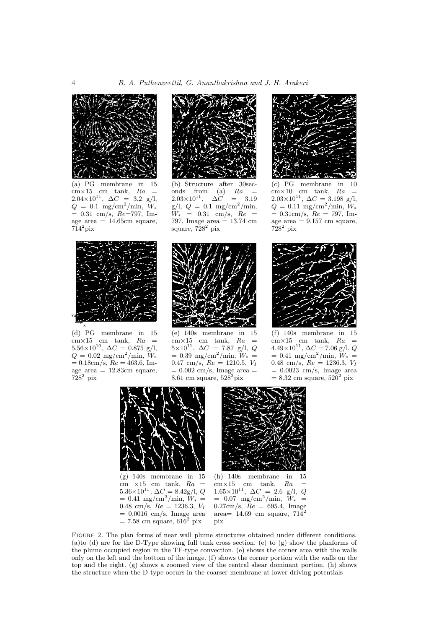

(a) PG membrane in 15  $cm \times 15$  cm tank,  $Ra =$  $2.04 \times 10^{11}$ ,  $\Delta C = 3.2$  g/l,  $Q = 0.1 \text{ mg/cm}^2/\text{min}, W_*$  $= 0.31$  cm/s,  $Re=797$ , Image area  $= 14.65 \text{cm}$  square,  $714^2$ pix



(b) Structure after 30seconds from (a)  $Ra =$  $2.03\times10^{11}$ ,  $\Delta C = 3.19$  $g/l, Q = 0.1$  mg/cm<sup>2</sup>/min,  $W_* = 0.31$  cm/s,  $Re =$ 797, Image area = 13.74 cm square,  $728^2$  pix



(c) PG membrane in 10  $cm \times 10$  cm tank,  $Ra =$  $2.03\times10^{11}$ ,  $\Delta C = 3.198$  g/l,  $Q = 0.11 \text{ mg/cm}^2/\text{min}, W_*$  $= 0.31 \text{cm/s}, \text{ } Re = 797, \text{ Im}$ age area  $= 9.157$  cm square,  $728^2$  pix



(d) PG membrane in 15  $\text{cm} \times 15$  cm tank,  $Ra$  =  $5.56\times10^{10}$ ,  $\Delta C = 0.875$  g/l,  $Q = 0.02~{\rm mg/cm^2/min},~W_*$  $= 0.18$ cm/s,  $Re = 463.6$ , Image area  $= 12.83$ cm square,  $728^2$  pix



(e) 140s membrane in 15  $\text{cm} \times 15$  cm tank,  $Ra =$  $5\times10^{11}$ ,  $\Delta C = 7.87$  g/l, Q  $= 0.39 \text{ mg/cm}^2/\text{min}, W_* =$  $0.47 \text{ cm/s}, Re = 1210.5, V_I$  $= 0.002$  cm/s, Image area  $=$  $8.61$  cm square,  $528^2$ pix



(f) 140s membrane in 15  $\cos 15$  cm tank,  $Ra =$  $4.49\times10^{11}$ ,  $\Delta C = 7.06$  g/l, Q  $= 0.41$  mg/cm<sup>2</sup>/min,  $W_* =$ 0.48 cm/s,  $Re = 1236.3, V_I$  $= 0.0023$  cm/s, Image area  $= 8.32$  cm square,  $520<sup>2</sup>$  pix



(g) 140s membrane in 15 cm  $\times 15$  cm tank,  $Ra =$ 5.36×10<sup>11</sup>,  $\Delta C = 8.42$ g/l, Q  $= 0.41$  mg/cm<sup>2</sup>/min,  $W_* =$ 0.48 cm/s,  $Re = 1236.3, V_I$  $= 0.0016$  cm/s, Image area  $= 7.58$  cm square,  $616^2$  pix



(h) 140s membrane in 15  $cm \times 15$  cm tank,  $Ra =$  $1.65\times10^{11}$ ,  $\Delta C = 2.6$  g/l, Q  $= 0.07$  mg/cm<sup>2</sup>/min,  $W_* =$  $0.27cm/s$ ,  $Re = 695.4$ , Image area=  $14.69$  cm square,  $71\overline{4}^2$ pix

Figure 2. The plan forms of near wall plume structures obtained under different conditions. (a)to (d) are for the D-Type showing full tank cross section. (e) to  $(g)$  show the planforms of the plume occupied region in the TF-type convection. (e) shows the corner area with the walls only on the left and the bottom of the image. (f) shows the corner portion with the walls on the top and the right. (g) shows a zoomed view of the central shear dominant portion. (h) shows the structure when the D-type occurs in the coarser membrane at lower driving potentials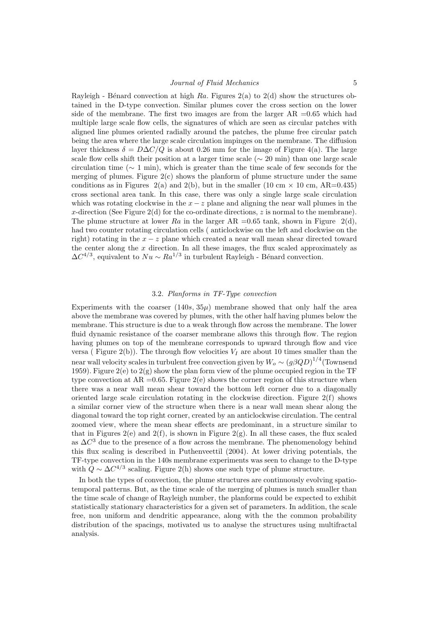Rayleigh - Bénard convection at high Ra. Figures 2(a) to 2(d) show the structures obtained in the D-type convection. Similar plumes cover the cross section on the lower side of the membrane. The first two images are from the larger  $AR = 0.65$  which had multiple large scale flow cells, the signatures of which are seen as circular patches with aligned line plumes oriented radially around the patches, the plume free circular patch being the area where the large scale circulation impinges on the membrane. The diffusion layer thickness  $\delta = D\Delta C/Q$  is about 0.26 mm for the image of Figure 4(a). The large scale flow cells shift their position at a larger time scale ( $\sim 20$  min) than one large scale circulation time ( $\sim 1$  min), which is greater than the time scale of few seconds for the merging of plumes. Figure  $2(c)$  shows the planform of plume structure under the same conditions as in Figures 2(a) and 2(b), but in the smaller (10 cm  $\times$  10 cm, AR=0.435) cross sectional area tank. In this case, there was only a single large scale circulation which was rotating clockwise in the  $x - z$  plane and aligning the near wall plumes in the x-direction (See Figure 2(d) for the co-ordinate directions, z is normal to the membrane). The plume structure at lower Ra in the larger AR =0.65 tank, shown in Figure 2(d), had two counter rotating circulation cells ( anticlockwise on the left and clockwise on the right) rotating in the  $x - z$  plane which created a near wall mean shear directed toward the center along the  $x$  direction. In all these images, the flux scaled approximately as  $\Delta C^{4/3}$ , equivalent to  $Nu \sim Ra^{1/3}$  in turbulent Rayleigh - Bénard convection.

# 3.2. Planforms in TF-Type convection

Experiments with the coarser  $(140s, 35\mu)$  membrane showed that only half the area above the membrane was covered by plumes, with the other half having plumes below the membrane. This structure is due to a weak through flow across the membrane. The lower fluid dynamic resistance of the coarser membrane allows this through flow. The region having plumes on top of the membrane corresponds to upward through flow and vice versa ( Figure 2(b)). The through flow velocities  $V_I$  are about 10 times smaller than the near wall velocity scales in turbulent free convection given by  $W_o \sim \left(g \beta Q D\right)^{1/4}$  (Townsend 1959). Figure 2(e) to 2(g) show the plan form view of the plume occupied region in the TF type convection at  $AR = 0.65$ . Figure 2(e) shows the corner region of this structure when there was a near wall mean shear toward the bottom left corner due to a diagonally oriented large scale circulation rotating in the clockwise direction. Figure  $2(f)$  shows a similar corner view of the structure when there is a near wall mean shear along the diagonal toward the top right corner, created by an anticlockwise circulation. The central zoomed view, where the mean shear effects are predominant, in a structure similar to that in Figures 2(e) and 2(f), is shown in Figure 2(g). In all these cases, the flux scaled as  $\Delta C^3$  due to the presence of a flow across the membrane. The phenomenology behind this flux scaling is described in Puthenveettil (2004). At lower driving potentials, the TF-type convection in the 140s membrane experiments was seen to change to the D-type with  $Q \sim \Delta C^{4/3}$  scaling. Figure 2(h) shows one such type of plume structure.

In both the types of convection, the plume structures are continuously evolving spatiotemporal patterns. But, as the time scale of the merging of plumes is much smaller than the time scale of change of Rayleigh number, the planforms could be expected to exhibit statistically stationary characteristics for a given set of parameters. In addition, the scale free, non uniform and dendritic appearance, along with the the common probability distribution of the spacings, motivated us to analyse the structures using multifractal analysis.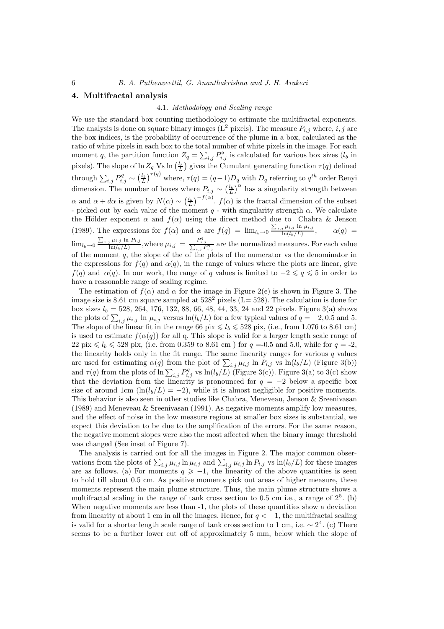# 4. Multifractal analysis

#### 4.1. Methodology and Scaling range

We use the standard box counting methodology to estimate the multifractal exponents. The analysis is done on square binary images ( $L^2$  pixels). The measure  $P_{i,j}$  where, i, j are the box indices, is the probability of occurrence of the plume in a box, calculated as the ratio of white pixels in each box to the total number of white pixels in the image. For each moment q, the partition function  $Z_q = \sum_{i,j} P_{i,j}^q$  is calculated for various box sizes  $(l_b$  in pixels). The slope of  $\ln Z_q$  Vs  $\ln \left(\frac{l_b}{L}\right)$  gives the Cumulant generating function  $\tau(q)$  defined through  $\sum_{i,j} P_{i,j}^q \sim \left(\frac{l_b}{L}\right)^{\tau(q)}$  where,  $\tau(q) = (q-1)D_q$  with  $D_q$  referring to  $q^{th}$  order Renyi dimension. The number of boxes where  $P_{i,j} \sim \left(\frac{l_b}{L}\right)^{\alpha}$  has a singularity strength between α and  $\alpha + d\alpha$  is given by  $N(\alpha) \sim \left(\frac{l_b}{L}\right)^{-f(\alpha)}$ .  $f(\alpha)$  is the fractal dimension of the subset - picked out by each value of the moment  $q$  - with singularity strength  $\alpha$ . We calculate the Hölder exponent  $\alpha$  and  $f(\alpha)$  using the direct method due to Chabra & Jenson (1989). The expressions for  $f(\alpha)$  and  $\alpha$  are  $f(q) = \lim_{l_b \to 0} \frac{\sum_{i,j} \mu_{i,j} \ln \mu_{i,j}}{\ln (l_b/L)}$  $ln(l_b/L)$  $\alpha(q) =$  $\lim_{l_b \to 0} \frac{\sum_{i,j} \mu_{i,j} \ln P_{i,j}}{\ln(l_b/L)}$  $\frac{d_i \mu_{i,j} \ln P_{i,j}}{\ln(l_b/L)}$ , where  $\mu_{i,j} = \frac{P_{i,j}^q}{\sum_{i,j} P_{i,j}^q}$  are the normalized measures. For each value of the moment  $q$ , the slope of the of the plots of the numerator vs the denominator in the expressions for  $f(q)$  and  $\alpha(q)$ , in the range of values where the plots are linear, give  $f(q)$  and  $\alpha(q)$ . In our work, the range of q values is limited to  $-2 \leqslant q \leqslant 5$  in order to have a reasonable range of scaling regime.

The estimation of  $f(\alpha)$  and  $\alpha$  for the image in Figure 2(e) is shown in Figure 3. The image size is 8.61 cm square sampled at  $528^2$  pixels (L= 528). The calculation is done for box sizes  $l_b = 528, 264, 176, 132, 88, 66, 48, 44, 33, 24$  and 22 pixels. Figure 3(a) shows the plots of  $\sum_{i,j} \mu_{i,j}$  ln  $\mu_{i,j}$  versus ln $(l_b/L)$  for a few typical values of  $q = -2, 0.5$  and 5. The slope of the linear fit in the range 66 pix  $\leq l_b \leq 528$  pix, (i.e., from 1.076 to 8.61 cm) is used to estimate  $f(\alpha(q))$  for all q. This slope is valid for a larger length scale range of 22 pix  $\leq l_b \leq 528$  pix, (i.e. from 0.359 to 8.61 cm) for  $q = -0.5$  and 5.0, while for  $q = -2$ , the linearity holds only in the fit range. The same linearity ranges for various  $q$  values are used for estimating  $\alpha(q)$  from the plot of  $\sum_{i,j} \mu_{i,j}$  ln  $P_{i,j}$  vs  $\ln(l_b/L)$  (Figure 3(b)) and  $\tau(q)$  from the plots of  $\ln \sum_{i,j} P_{i,j}^q$  vs  $\ln(l_b/L)$  (Figure 3(c)). Figure 3(a) to 3(c) show that the deviation from the linearity is pronounced for  $q = -2$  below a specific box size of around 1cm  $(\ln(l_b/L) = -2)$ , while it is almost negligible for positive moments. This behavior is also seen in other studies like Chabra, Meneveau, Jenson & Sreenivasan (1989) and Meneveau & Sreenivasan (1991). As negative moments amplify low measures, and the effect of noise in the low measure regions at smaller box sizes is substantial, we expect this deviation to be due to the amplification of the errors. For the same reason, the negative moment slopes were also the most affected when the binary image threshold was changed (See inset of Figure 7).

The analysis is carried out for all the images in Figure 2. The major common observations from the plots of  $\sum_{i,j} \mu_{i,j} \ln \mu_{i,j}$  and  $\sum_{i,j} \mu_{i,j} \ln P_{i,j}$  vs  $\ln(l_b/L)$  for these images are as follows. (a) For moments  $q \geq -1$ , the linearity of the above quantities is seen to hold till about 0.5 cm. As positive moments pick out areas of higher measure, these moments represent the main plume structure. Thus, the main plume structure shows a multifractal scaling in the range of tank cross section to  $0.5$  cm i.e., a range of  $2^5$ . (b) When negative moments are less than  $-1$ , the plots of these quantities show a deviation from linearity at about 1 cm in all the images. Hence, for  $q < -1$ , the multifractal scaling is valid for a shorter length scale range of tank cross section to 1 cm, i.e.  $\sim 2^4$ . (c) There seems to be a further lower cut off of approximately 5 mm, below which the slope of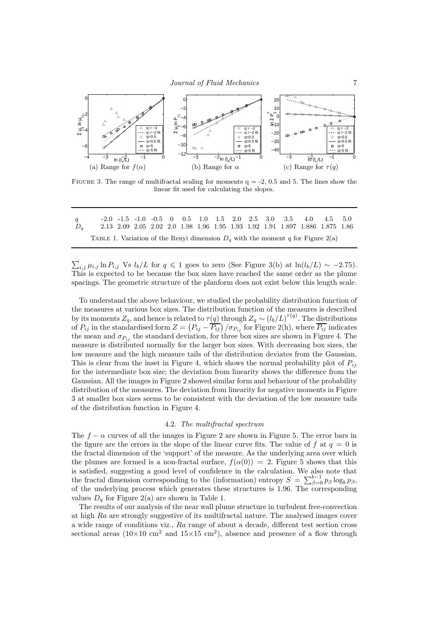

FIGURE 3. The range of multifractal scaling for moments  $q = -2$ , 0.5 and 5. The lines show the linear fit used for calculating the slopes.

| $\boldsymbol{q}$ |                                                                                   |  |  |  |  |  | $-2.0$ $-1.5$ $-1.0$ $-0.5$ 0 0.5 1.0 1.5 2.0 2.5 3.0 3.5 4.0 4.5 5.0        |  |  |
|------------------|-----------------------------------------------------------------------------------|--|--|--|--|--|------------------------------------------------------------------------------|--|--|
| $D_a$            | TABLE 1. Variation of the Renyi dimension $D_q$ with the moment q for Figure 2(a) |  |  |  |  |  | 2.13 2.09 2.05 2.02 2.0 1.98 1.96 1.95 1.93 1.92 1.91 1.897 1.886 1.875 1.86 |  |  |

 $\sum_{i,j} \mu_{i,j} \ln P_{i,j}$  Vs  $l_b/L$  for  $q \leq 1$  goes to zero (See Figure 3(b) at  $\ln(l_b/L) \sim -2.75$ ). This is expected to be because the box sizes have reached the same order as the plume spacings. The geometric structure of the planform does not exist below this length scale.

To understand the above behaviour, we studied the probability distribution function of the measures at various box sizes. The distribution function of the measures is described by its moments  $Z_q$ , and hence is related to  $\tau(q)$  through  $Z_q \sim (l_b/L)^{\tau(q)}$ . The distributions of  $P_{ij}$  in the standardised form  $Z = (P_{ij} - \overline{P_{ij}})/\sigma_{P_{ij}}$  for Figure 2(h), where  $\overline{P_{ij}}$  indicates the mean and  $\sigma_{P_{ij}}$  the standard deviation, for three box sizes are shown in Figure 4. The measure is distributed normally for the larger box sizes. With decreasing box sizes, the low measure and the high measure tails of the distribution deviates from the Gaussian. This is clear from the inset in Figure 4, which shows the normal probability plot of  $P_{ij}$ for the intermediate box size; the deviation from linearity shows the difference from the Gaussian. All the images in Figure 2 showed similar form and behaviour of the probability distribution of the measures. The deviation from linearity for negative moments in Figure 3 at smaller box sizes seems to be consistent with the deviation of the low measure tails of the distribution function in Figure 4.

#### 4.2. The multifractal spectrum

The  $f - \alpha$  curves of all the images in Figure 2 are shown in Figure 5. The error bars in the figure are the errors in the slope of the linear curve fits. The value of f at  $q = 0$  is the fractal dimension of the 'support' of the measure. As the underlying area over which the plumes are formed is a non-fractal surface,  $f(\alpha(0)) = 2$ . Figure 5 shows that this is satisfied, suggesting a good level of confidence in the calculation. We also note that the fractal dimension corresponding to the (information) entropy  $S = \sum_{\beta=0}^{b-1} p_{\beta} \log_b p_{\beta}$ , of the underlying process which generates these structures is 1.96. The corresponding values  $D<sub>a</sub>$  for Figure 2(a) are shown in Table 1.

The results of our analysis of the near wall plume structure in turbulent free-convection at high Ra are strongly suggestive of its multifractal nature. The analysed images cover a wide range of conditions viz., Ra range of about a decade, different test section cross sectional areas  $(10\times10 \text{ cm}^2 \text{ and } 15\times15 \text{ cm}^2)$ , absence and presence of a flow through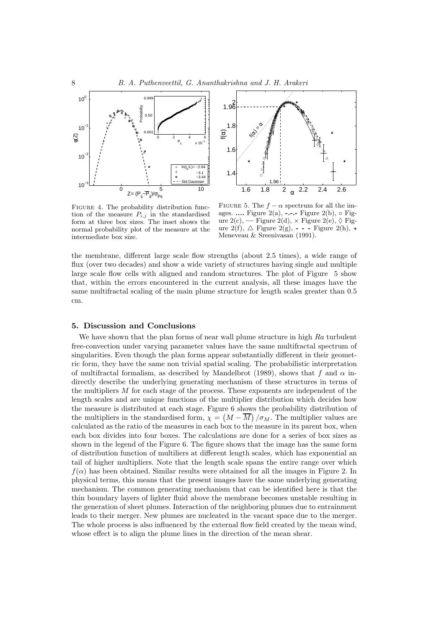



FIGURE 4. The probability distribution function of the measure  $P_{i,j}$  in the standardised form at three box sizes. The inset shows the normal probability plot of the measure at the intermediate box size.

FIGURE 5. The  $f - \alpha$  spectrum for all the images. .... Figure 2(a), -.-.- Figure 2(b),  $\circ$  Figure 2(c), — Figure 2(d),  $\times$  Figure 2(e),  $\diamond$  Figure  $2(f)$ ,  $\Delta$  Figure  $2(g)$ , - - - Figure  $2(h)$ ,  $\star$ Meneveau & Sreenivasan (1991).

the membrane, different large scale flow strengths (about 2.5 times), a wide range of flux (over two decades) and show a wide variety of structures having single and multiple large scale flow cells with aligned and random structures. The plot of Figure 5 show that, within the errors encountered in the current analysis, all these images have the same multifractal scaling of the main plume structure for length scales greater than 0.5 cm.

# 5. Discussion and Conclusions

We have shown that the plan forms of near wall plume structure in high Ra turbulent free-convection under varying parameter values have the same multifractal spectrum of singularities. Even though the plan forms appear substantially different in their geometric form, they have the same non trivial spatial scaling. The probabilistic interpretation of multifractal formalism, as described by Mandelbrot (1989), shows that f and  $\alpha$  indirectly describe the underlying generating mechanism of these structures in terms of the multipliers M for each stage of the process. These exponents are independent of the length scales and are unique functions of the multiplier distribution which decides how the measure is distributed at each stage. Figure 6 shows the probability distribution of the multipliers in the standardised form,  $\chi = \left(M - \overline{M}\right)/\sigma_M$ . The multiplier values are calculated as the ratio of the measures in each box to the measure in its parent box, when each box divides into four boxes. The calculations are done for a series of box sizes as shown in the legend of the Figure 6. The figure shows that the image has the same form of distribution function of multiliers at different length scales, which has exponential an tail of higher multipliers. Note that the length scale spans the entire range over which  $f(\alpha)$  has been obtained. Similar results were obtained for all the images in Figure 2. In physical terms, this means that the present images have the same underlying generating mechanism. The common generating mechanism that can be identified here is that the thin boundary layers of lighter fluid above the membrane becomes unstable resulting in the generation of sheet plumes. Interaction of the neighboring plumes due to entrainment leads to their merger. New plumes are nucleated in the vacant space due to the merger. The whole process is also influenced by the external flow field created by the mean wind, whose effect is to align the plume lines in the direction of the mean shear.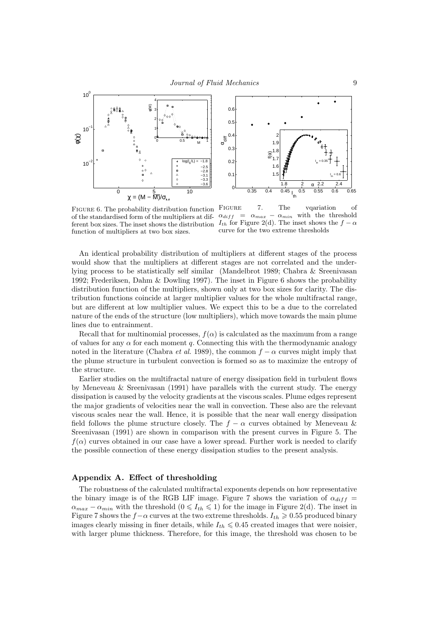



FIGURE 6. The probability distribution function of the standardised form of the multipliers at dif- $\alpha_{diff} = \alpha_{max} - \alpha_{min}$  with the threshold ferent box sizes. The inset shows the distribution  $I_{th}$  for Figure 2(d). The inset shows the  $f - \alpha$ function of multipliers at two box sizes.

FIGURE 7. The vqariation of curve for the two extreme thresholds

An identical probability distribution of multipliers at different stages of the process would show that the multipliers at different stages are not correlated and the underlying process to be statistically self similar (Mandelbrot 1989; Chabra & Sreenivasan 1992; Frederiksen, Dahm & Dowling 1997). The inset in Figure 6 shows the probability distribution function of the multipliers, shown only at two box sizes for clarity. The distribution functions coincide at larger multiplier values for the whole multifractal range, but are different at low multiplier values. We expect this to be a due to the correlated nature of the ends of the structure (low multipliers), which move towards the main plume lines due to entrainment.

Recall that for multinomial processes,  $f(\alpha)$  is calculated as the maximum from a range of values for any  $\alpha$  for each moment q. Connecting this with the thermodynamic analogy noted in the literature (Chabra *et al.* 1989), the common  $f - \alpha$  curves might imply that the plume structure in turbulent convection is formed so as to maximize the entropy of the structure.

Earlier studies on the multifractal nature of energy dissipation field in turbulent flows by Meneveau & Sreenivasan (1991) have parallels with the current study. The energy dissipation is caused by the velocity gradients at the viscous scales. Plume edges represent the major gradients of velocities near the wall in convection. These also are the relevant viscous scales near the wall. Hence, it is possible that the near wall energy dissipation field follows the plume structure closely. The  $f - \alpha$  curves obtained by Meneveau & Sreenivasan (1991) are shown in comparison with the present curves in Figure 5. The  $f(\alpha)$  curves obtained in our case have a lower spread. Further work is needed to clarify the possible connection of these energy dissipation studies to the present analysis.

# Appendix A. Effect of thresholding

The robustness of the calculated multifractal exponents depends on how representative the binary image is of the RGB LIF image. Figure 7 shows the variation of  $\alpha_{diff}$  =  $\alpha_{max} - \alpha_{min}$  with the threshold  $(0 \leq I_{th} \leq 1)$  for the image in Figure 2(d). The inset in Figure 7 shows the  $f-\alpha$  curves at the two extreme thresholds.  $I_{th} \geqslant 0.55$  produced binary images clearly missing in finer details, while  $I_{th} \leq 0.45$  created images that were noisier, with larger plume thickness. Therefore, for this image, the threshold was chosen to be